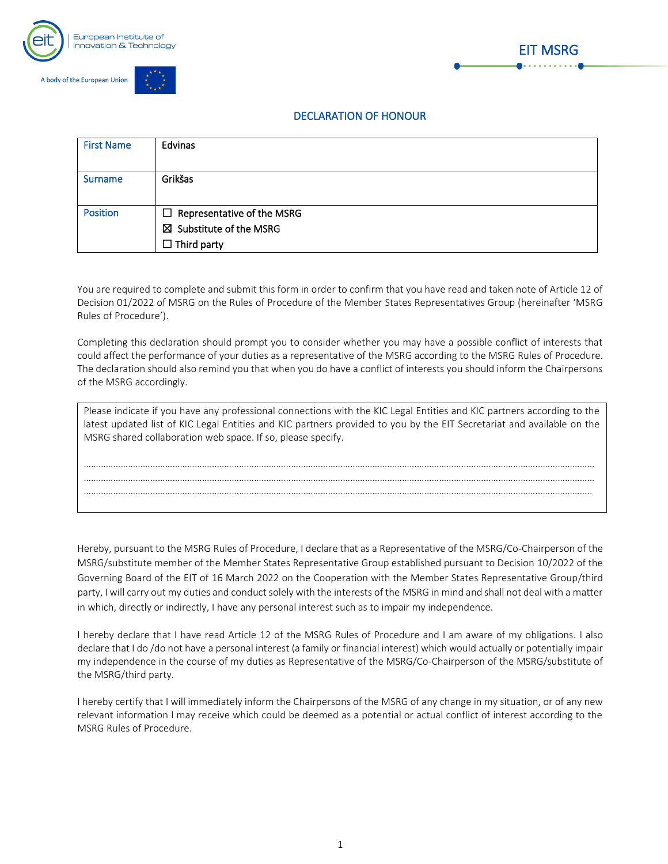



## DECLARATION OF HONOUR

EIT MSRG

| <b>First Name</b> | Edvinas                                                                                       |
|-------------------|-----------------------------------------------------------------------------------------------|
| <b>Surname</b>    | Grikšas                                                                                       |
| <b>Position</b>   | $\Box$ Representative of the MSRG<br>$\boxtimes$ Substitute of the MSRG<br>$\Box$ Third party |

You are required to complete and submit this form in order to confirm that you have read and taken note of Article 12 of Decision 01/2022 of MSRG on the Rules of Procedure of the Member States Representatives Group (hereinafter 'MSRG Rules of Procedure').

Completing this declaration should prompt you to consider whether you may have a possible conflict of interests that could affect the performance of your duties as a representative of the MSRG according to the MSRG Rules of Procedure. The declaration should also remind you that when you do have a conflict of interests you should inform the Chairpersons of the MSRG accordingly.

| Please indicate if you have any professional connections with the KIC Legal Entities and KIC partners according to the<br>latest updated list of KIC Legal Entities and KIC partners provided to you by the EIT Secretariat and available on the<br>MSRG shared collaboration web space. If so, please specify. |
|-----------------------------------------------------------------------------------------------------------------------------------------------------------------------------------------------------------------------------------------------------------------------------------------------------------------|
|                                                                                                                                                                                                                                                                                                                 |
|                                                                                                                                                                                                                                                                                                                 |
|                                                                                                                                                                                                                                                                                                                 |
|                                                                                                                                                                                                                                                                                                                 |
|                                                                                                                                                                                                                                                                                                                 |

Hereby, pursuant to the MSRG Rules of Procedure, I declare that as a Representative of the MSRG/Co-Chairperson of the MSRG/substitute member of the Member States Representative Group established pursuant to Decision 10/2022 of the Governing Board of the EIT of 16 March 2022 on the Cooperation with the Member States Representative Group/third party, I will carry out my duties and conduct solely with the interests of the MSRG in mind and shall not deal with a matter in which, directly or indirectly, I have any personal interest such as to impair my independence.

I hereby declare that I have read Article 12 of the MSRG Rules of Procedure and I am aware of my obligations. I also declare that I do /do not have a personal interest (a family or financial interest) which would actually or potentially impair my independence in the course of my duties as Representative of the MSRG/Co-Chairperson of the MSRG/substitute of the MSRG/third party.

I hereby certify that I will immediately inform the Chairpersons of the MSRG of any change in my situation, or of any new relevant information I may receive which could be deemed as a potential or actual conflict of interest according to the MSRG Rules of Procedure.